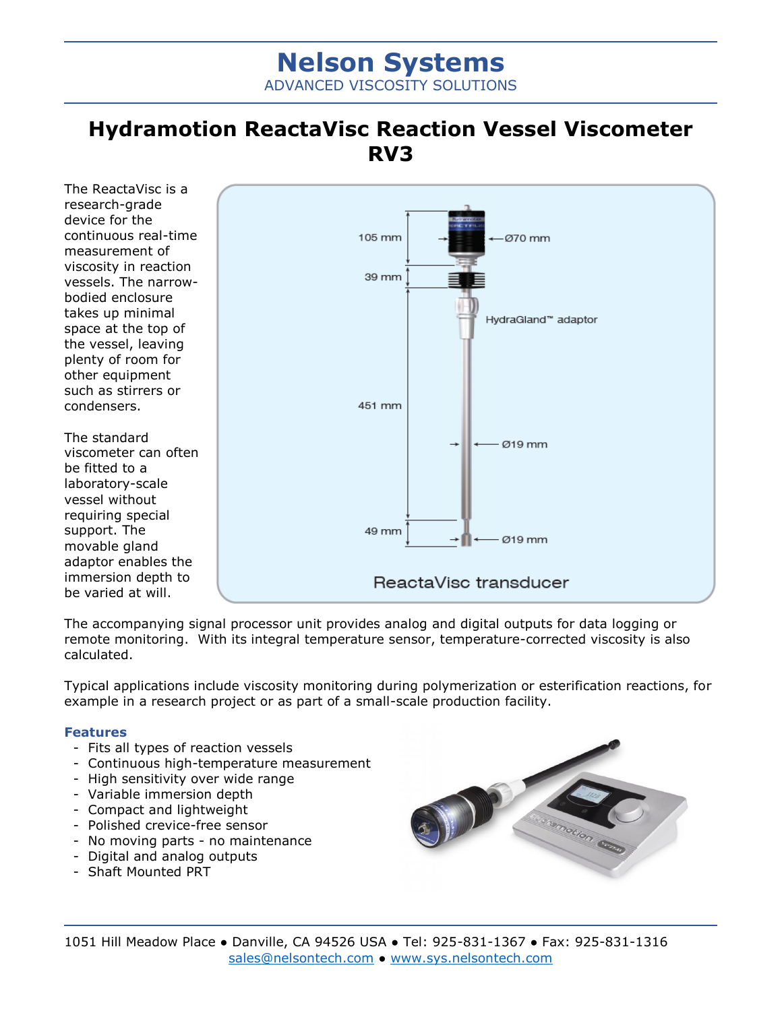# **Nelson Systems** ADVANCED VISCOSITY SOLUTIONS

## **Hydramotion ReactaVisc Reaction Vessel Viscometer RV3**

The ReactaVisc is a research-grade device for the continuous real-time measurement of viscosity in reaction vessels. The narrowbodied enclosure takes up minimal space at the top of the vessel, leaving plenty of room for other equipment such as stirrers or condensers.

The standard viscometer can often be fitted to a laboratory-scale vessel without requiring special support. The movable gland adaptor enables the immersion depth to be varied at will.



The accompanying signal processor unit provides analog and digital outputs for data logging or remote monitoring. With its integral temperature sensor, temperature-corrected viscosity is also calculated.

Typical applications include viscosity monitoring during polymerization or esterification reactions, for example in a research project or as part of a small-scale production facility.

#### **Features**

- Fits all types of reaction vessels
- Continuous high-temperature measurement
- High sensitivity over wide range
- Variable immersion depth
- Compact and lightweight
- Polished crevice-free sensor
- No moving parts no maintenance
- Digital and analog outputs
- Shaft Mounted PRT